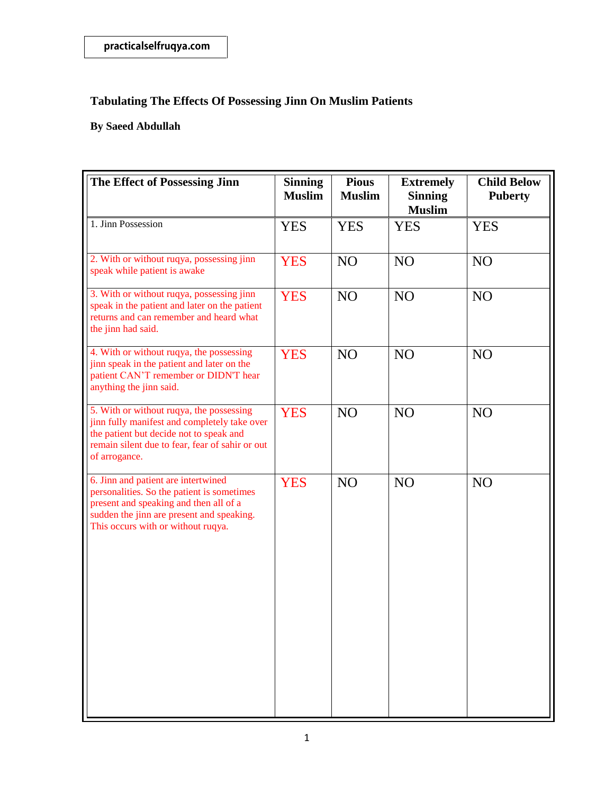| The Effect of Possessing Jinn                                                                                                                                                                                  | <b>Sinning</b><br><b>Muslim</b> | <b>Pious</b><br><b>Muslim</b> | <b>Extremely</b><br><b>Sinning</b><br><b>Muslim</b> | <b>Child Below</b><br><b>Puberty</b> |
|----------------------------------------------------------------------------------------------------------------------------------------------------------------------------------------------------------------|---------------------------------|-------------------------------|-----------------------------------------------------|--------------------------------------|
| 1. Jinn Possession                                                                                                                                                                                             | <b>YES</b>                      | <b>YES</b>                    | <b>YES</b>                                          | <b>YES</b>                           |
| 2. With or without ruqya, possessing jinn<br>speak while patient is awake                                                                                                                                      | <b>YES</b>                      | N <sub>O</sub>                | NO                                                  | N <sub>O</sub>                       |
| 3. With or without ruqya, possessing jinn<br>speak in the patient and later on the patient<br>returns and can remember and heard what<br>the jinn had said.                                                    | <b>YES</b>                      | NO                            | N <sub>O</sub>                                      | NO                                   |
| 4. With or without ruqya, the possessing<br>jinn speak in the patient and later on the<br>patient CAN'T remember or DIDN'T hear<br>anything the jinn said.                                                     | <b>YES</b>                      | N <sub>O</sub>                | N <sub>O</sub>                                      | N <sub>O</sub>                       |
| 5. With or without ruqya, the possessing<br>jinn fully manifest and completely take over<br>the patient but decide not to speak and<br>remain silent due to fear, fear of sahir or out<br>of arrogance.        | <b>YES</b>                      | NO                            | N <sub>O</sub>                                      | N <sub>O</sub>                       |
| 6. Jinn and patient are intertwined<br>personalities. So the patient is sometimes<br>present and speaking and then all of a<br>sudden the jinn are present and speaking.<br>This occurs with or without ruqya. | <b>YES</b>                      | N <sub>O</sub>                | N <sub>O</sub>                                      | N <sub>O</sub>                       |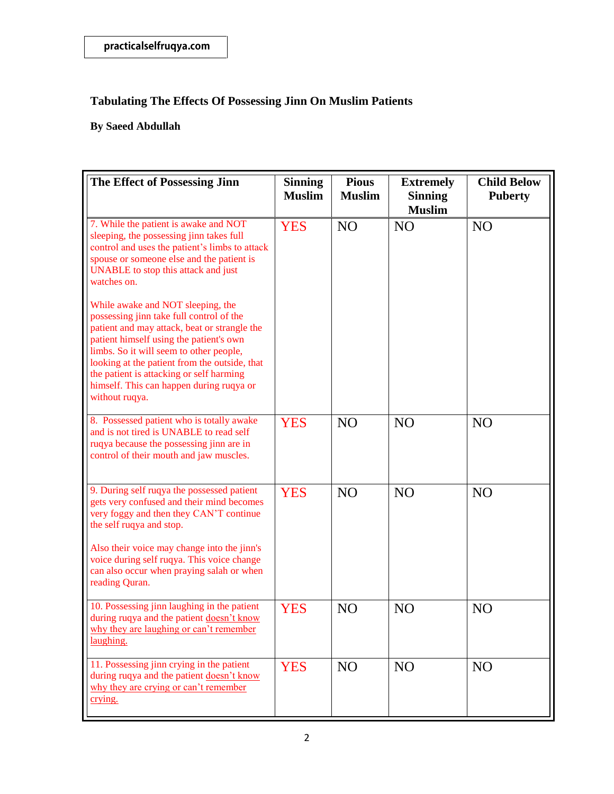| The Effect of Possessing Jinn                                                                                                                                                                                                                                                                                                                                                  | <b>Sinning</b><br><b>Muslim</b> | <b>Pious</b><br><b>Muslim</b> | <b>Extremely</b><br><b>Sinning</b><br><b>Muslim</b> | <b>Child Below</b><br><b>Puberty</b> |
|--------------------------------------------------------------------------------------------------------------------------------------------------------------------------------------------------------------------------------------------------------------------------------------------------------------------------------------------------------------------------------|---------------------------------|-------------------------------|-----------------------------------------------------|--------------------------------------|
| 7. While the patient is awake and NOT<br>sleeping, the possessing jinn takes full<br>control and uses the patient's limbs to attack<br>spouse or someone else and the patient is<br>UNABLE to stop this attack and just<br>watches on.                                                                                                                                         | <b>YES</b>                      | N <sub>O</sub>                | N <sub>O</sub>                                      | N <sub>O</sub>                       |
| While awake and NOT sleeping, the<br>possessing jinn take full control of the<br>patient and may attack, beat or strangle the<br>patient himself using the patient's own<br>limbs. So it will seem to other people,<br>looking at the patient from the outside, that<br>the patient is attacking or self harming<br>himself. This can happen during ruqya or<br>without ruqya. |                                 |                               |                                                     |                                      |
| 8. Possessed patient who is totally awake<br>and is not tired is UNABLE to read self<br>ruqya because the possessing jinn are in<br>control of their mouth and jaw muscles.                                                                                                                                                                                                    | <b>YES</b>                      | N <sub>O</sub>                | NO                                                  | N <sub>O</sub>                       |
| 9. During self ruqya the possessed patient<br>gets very confused and their mind becomes<br>very foggy and then they CAN'T continue<br>the self ruqya and stop.                                                                                                                                                                                                                 | <b>YES</b>                      | N <sub>O</sub>                | N <sub>O</sub>                                      | N <sub>O</sub>                       |
| Also their voice may change into the jinn's<br>voice during self ruqya. This voice change<br>can also occur when praying salah or when<br>reading Quran.                                                                                                                                                                                                                       |                                 |                               |                                                     |                                      |
| 10. Possessing jinn laughing in the patient<br>during ruqya and the patient doesn't know<br>why they are laughing or can't remember<br>laughing.                                                                                                                                                                                                                               | <b>YES</b>                      | N <sub>O</sub>                | N <sub>O</sub>                                      | N <sub>O</sub>                       |
| 11. Possessing jinn crying in the patient<br>during ruqya and the patient doesn't know<br>why they are crying or can't remember<br>crying.                                                                                                                                                                                                                                     | <b>YES</b>                      | NO                            | N <sub>O</sub>                                      | N <sub>O</sub>                       |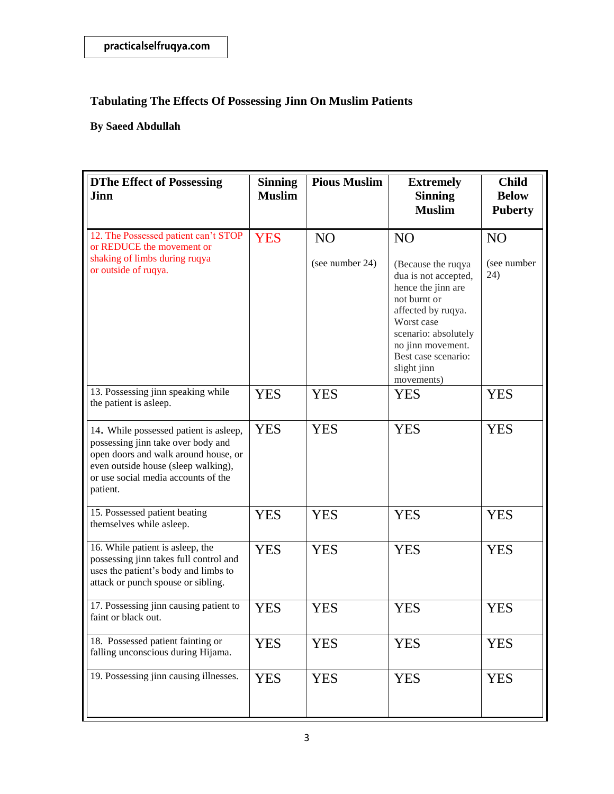| <b>DThe Effect of Possessing</b><br>Jinn                                                                                                                                                                       | <b>Sinning</b><br><b>Muslim</b> | <b>Pious Muslim</b>               | <b>Extremely</b><br><b>Sinning</b><br><b>Muslim</b>                                                                                                                                                                                     | <b>Child</b><br><b>Below</b><br><b>Puberty</b> |
|----------------------------------------------------------------------------------------------------------------------------------------------------------------------------------------------------------------|---------------------------------|-----------------------------------|-----------------------------------------------------------------------------------------------------------------------------------------------------------------------------------------------------------------------------------------|------------------------------------------------|
| 12. The Possessed patient can't STOP<br>or REDUCE the movement or<br>shaking of limbs during ruqya<br>or outside of ruqya.                                                                                     | <b>YES</b>                      | N <sub>O</sub><br>(see number 24) | N <sub>O</sub><br>(Because the ruqya<br>dua is not accepted,<br>hence the jinn are<br>not burnt or<br>affected by ruqya.<br>Worst case<br>scenario: absolutely<br>no jinn movement.<br>Best case scenario:<br>slight jinn<br>movements) | N <sub>O</sub><br>(see number<br>24)           |
| 13. Possessing jinn speaking while<br>the patient is asleep.                                                                                                                                                   | <b>YES</b>                      | <b>YES</b>                        | <b>YES</b>                                                                                                                                                                                                                              | <b>YES</b>                                     |
| 14. While possessed patient is asleep,<br>possessing jinn take over body and<br>open doors and walk around house, or<br>even outside house (sleep walking),<br>or use social media accounts of the<br>patient. | <b>YES</b>                      | <b>YES</b>                        | <b>YES</b>                                                                                                                                                                                                                              | <b>YES</b>                                     |
| 15. Possessed patient beating<br>themselves while asleep.                                                                                                                                                      | <b>YES</b>                      | <b>YES</b>                        | <b>YES</b>                                                                                                                                                                                                                              | <b>YES</b>                                     |
| 16. While patient is asleep, the<br>possessing jinn takes full control and<br>uses the patient's body and limbs to<br>attack or punch spouse or sibling.                                                       | <b>YES</b>                      | <b>YES</b>                        | <b>YES</b>                                                                                                                                                                                                                              | <b>YES</b>                                     |
| 17. Possessing jinn causing patient to<br>faint or black out.                                                                                                                                                  | <b>YES</b>                      | <b>YES</b>                        | <b>YES</b>                                                                                                                                                                                                                              | <b>YES</b>                                     |
| 18. Possessed patient fainting or<br>falling unconscious during Hijama.                                                                                                                                        | <b>YES</b>                      | <b>YES</b>                        | <b>YES</b>                                                                                                                                                                                                                              | <b>YES</b>                                     |
| 19. Possessing jinn causing illnesses.                                                                                                                                                                         | <b>YES</b>                      | <b>YES</b>                        | <b>YES</b>                                                                                                                                                                                                                              | <b>YES</b>                                     |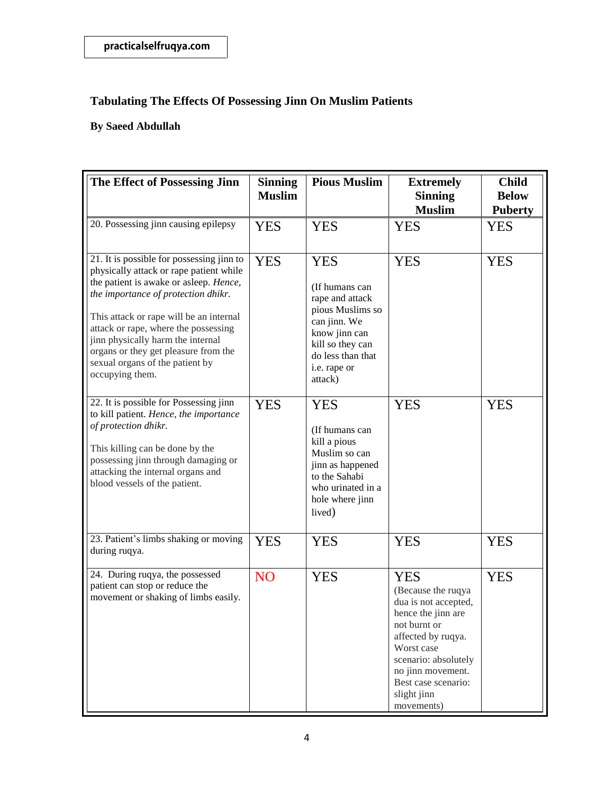| The Effect of Possessing Jinn                                                                                                                                                                                                                                                                                                                                                               | <b>Sinning</b><br><b>Muslim</b> | <b>Pious Muslim</b>                                                                                                                                                      | <b>Extremely</b><br><b>Sinning</b><br><b>Muslim</b>                                                                                                                                                                                 | <b>Child</b><br><b>Below</b><br><b>Puberty</b> |
|---------------------------------------------------------------------------------------------------------------------------------------------------------------------------------------------------------------------------------------------------------------------------------------------------------------------------------------------------------------------------------------------|---------------------------------|--------------------------------------------------------------------------------------------------------------------------------------------------------------------------|-------------------------------------------------------------------------------------------------------------------------------------------------------------------------------------------------------------------------------------|------------------------------------------------|
| 20. Possessing jinn causing epilepsy                                                                                                                                                                                                                                                                                                                                                        | <b>YES</b>                      | <b>YES</b>                                                                                                                                                               | <b>YES</b>                                                                                                                                                                                                                          | <b>YES</b>                                     |
| 21. It is possible for possessing jinn to<br>physically attack or rape patient while<br>the patient is awake or asleep. Hence,<br>the importance of protection dhikr.<br>This attack or rape will be an internal<br>attack or rape, where the possessing<br>jinn physically harm the internal<br>organs or they get pleasure from the<br>sexual organs of the patient by<br>occupying them. | <b>YES</b>                      | <b>YES</b><br>(If humans can<br>rape and attack<br>pious Muslims so<br>can jinn. We<br>know jinn can<br>kill so they can<br>do less than that<br>i.e. rape or<br>attack) | <b>YES</b>                                                                                                                                                                                                                          | <b>YES</b>                                     |
| 22. It is possible for Possessing jinn<br>to kill patient. Hence, the importance<br>of protection dhikr.<br>This killing can be done by the<br>possessing jinn through damaging or<br>attacking the internal organs and<br>blood vessels of the patient.                                                                                                                                    | <b>YES</b>                      | <b>YES</b><br>(If humans can<br>kill a pious<br>Muslim so can<br>jinn as happened<br>to the Sahabi<br>who urinated in a<br>hole where jinn<br>lived)                     | <b>YES</b>                                                                                                                                                                                                                          | <b>YES</b>                                     |
| 23. Patient's limbs shaking or moving<br>during ruqya.                                                                                                                                                                                                                                                                                                                                      | <b>YES</b>                      | <b>YES</b>                                                                                                                                                               | <b>YES</b>                                                                                                                                                                                                                          | <b>YES</b>                                     |
| 24. During ruqya, the possessed<br>patient can stop or reduce the<br>movement or shaking of limbs easily.                                                                                                                                                                                                                                                                                   | N <sub>O</sub>                  | <b>YES</b>                                                                                                                                                               | <b>YES</b><br>(Because the ruqya<br>dua is not accepted,<br>hence the jinn are<br>not burnt or<br>affected by ruqya.<br>Worst case<br>scenario: absolutely<br>no jinn movement.<br>Best case scenario:<br>slight jinn<br>movements) | <b>YES</b>                                     |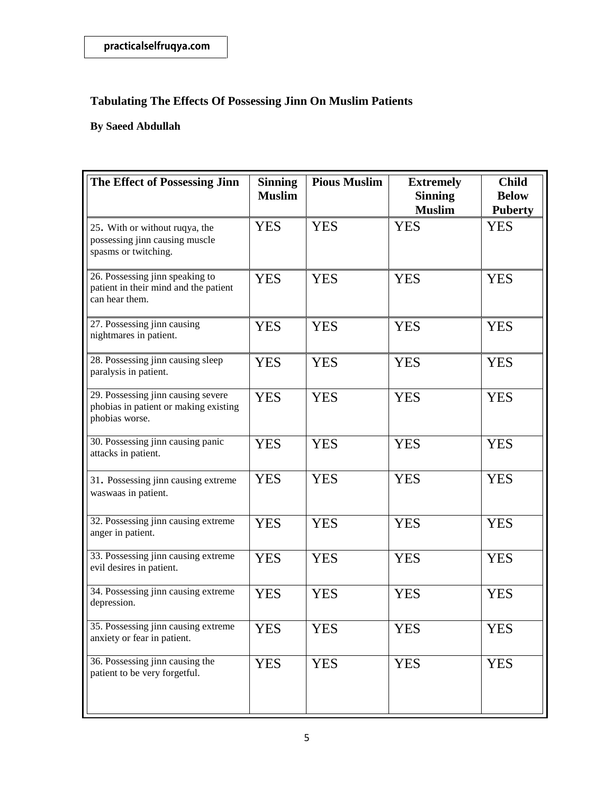| The Effect of Possessing Jinn                                                                 | <b>Sinning</b><br><b>Muslim</b> | <b>Pious Muslim</b> | <b>Extremely</b><br><b>Sinning</b><br><b>Muslim</b> | <b>Child</b><br><b>Below</b><br><b>Puberty</b> |
|-----------------------------------------------------------------------------------------------|---------------------------------|---------------------|-----------------------------------------------------|------------------------------------------------|
| 25. With or without ruqya, the<br>possessing jinn causing muscle<br>spasms or twitching.      | <b>YES</b>                      | <b>YES</b>          | <b>YES</b>                                          | <b>YES</b>                                     |
| 26. Possessing jinn speaking to<br>patient in their mind and the patient<br>can hear them.    | <b>YES</b>                      | <b>YES</b>          | <b>YES</b>                                          | <b>YES</b>                                     |
| 27. Possessing jinn causing<br>nightmares in patient.                                         | <b>YES</b>                      | <b>YES</b>          | <b>YES</b>                                          | <b>YES</b>                                     |
| 28. Possessing jinn causing sleep<br>paralysis in patient.                                    | <b>YES</b>                      | <b>YES</b>          | <b>YES</b>                                          | <b>YES</b>                                     |
| 29. Possessing jinn causing severe<br>phobias in patient or making existing<br>phobias worse. | <b>YES</b>                      | <b>YES</b>          | <b>YES</b>                                          | <b>YES</b>                                     |
| 30. Possessing jinn causing panic<br>attacks in patient.                                      | <b>YES</b>                      | <b>YES</b>          | <b>YES</b>                                          | <b>YES</b>                                     |
| 31. Possessing jinn causing extreme<br>waswaas in patient.                                    | <b>YES</b>                      | <b>YES</b>          | <b>YES</b>                                          | <b>YES</b>                                     |
| 32. Possessing jinn causing extreme<br>anger in patient.                                      | <b>YES</b>                      | <b>YES</b>          | <b>YES</b>                                          | <b>YES</b>                                     |
| 33. Possessing jinn causing extreme<br>evil desires in patient.                               | <b>YES</b>                      | <b>YES</b>          | <b>YES</b>                                          | <b>YES</b>                                     |
| 34. Possessing jinn causing extreme<br>depression.                                            | <b>YES</b>                      | <b>YES</b>          | <b>YES</b>                                          | <b>YES</b>                                     |
| 35. Possessing jinn causing extreme<br>anxiety or fear in patient.                            | YES                             | YES                 | YES                                                 | <b>YES</b>                                     |
| 36. Possessing jinn causing the<br>patient to be very forgetful.                              | <b>YES</b>                      | <b>YES</b>          | <b>YES</b>                                          | <b>YES</b>                                     |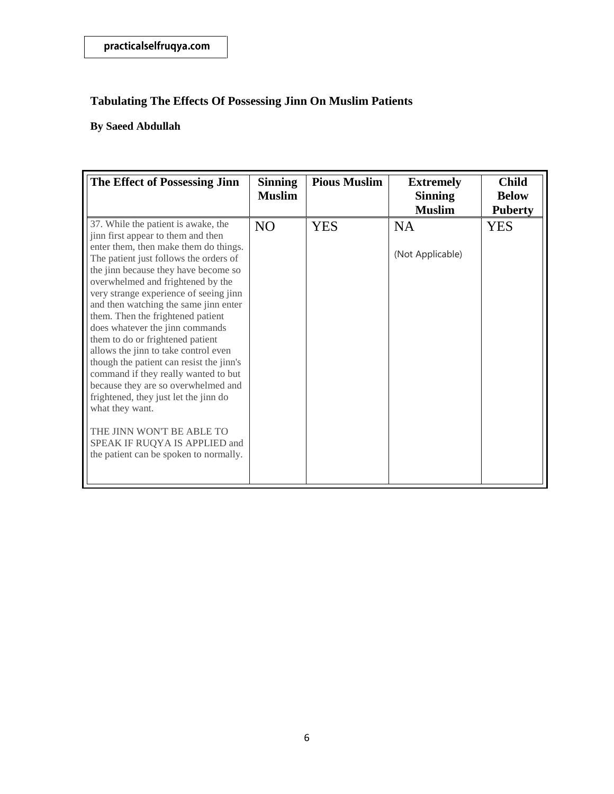| The Effect of Possessing Jinn                                                                                                                                                                                                                                                                                                                                                                                                                                                                                                                                                                                                                                                                                                                                                   | <b>Sinning</b><br><b>Muslim</b> | <b>Pious Muslim</b> | <b>Extremely</b><br><b>Sinning</b><br><b>Muslim</b> | <b>Child</b><br><b>Below</b><br><b>Puberty</b> |
|---------------------------------------------------------------------------------------------------------------------------------------------------------------------------------------------------------------------------------------------------------------------------------------------------------------------------------------------------------------------------------------------------------------------------------------------------------------------------------------------------------------------------------------------------------------------------------------------------------------------------------------------------------------------------------------------------------------------------------------------------------------------------------|---------------------------------|---------------------|-----------------------------------------------------|------------------------------------------------|
| 37. While the patient is awake, the<br>jinn first appear to them and then<br>enter them, then make them do things.<br>The patient just follows the orders of<br>the jinn because they have become so<br>overwhelmed and frightened by the<br>very strange experience of seeing jinn<br>and then watching the same jinn enter<br>them. Then the frightened patient<br>does whatever the jinn commands<br>them to do or frightened patient<br>allows the jinn to take control even<br>though the patient can resist the jinn's<br>command if they really wanted to but<br>because they are so overwhelmed and<br>frightened, they just let the jinn do<br>what they want.<br>THE JINN WON'T BE ABLE TO<br>SPEAK IF RUQYA IS APPLIED and<br>the patient can be spoken to normally. | NO <sub>1</sub>                 | <b>YES</b>          | <b>NA</b><br>(Not Applicable)                       | <b>YES</b>                                     |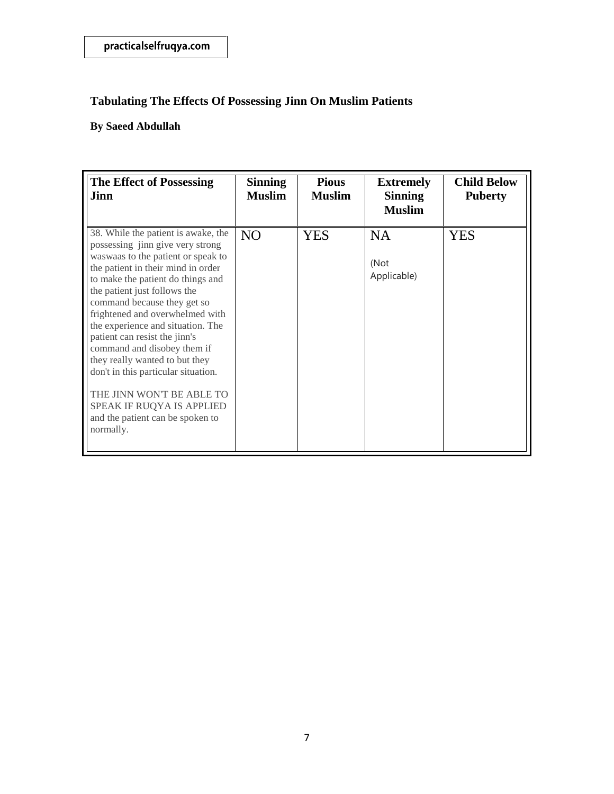| <b>The Effect of Possessing</b><br>Jinn                                                                                                                                                                                                                                                                                                                                                                                                                                                                                                                                             | <b>Sinning</b><br><b>Muslim</b> | <b>Pious</b><br><b>Muslim</b> | <b>Extremely</b><br><b>Sinning</b><br><b>Muslim</b> | <b>Child Below</b><br><b>Puberty</b> |
|-------------------------------------------------------------------------------------------------------------------------------------------------------------------------------------------------------------------------------------------------------------------------------------------------------------------------------------------------------------------------------------------------------------------------------------------------------------------------------------------------------------------------------------------------------------------------------------|---------------------------------|-------------------------------|-----------------------------------------------------|--------------------------------------|
| 38. While the patient is awake, the<br>possessing jinn give very strong<br>waswaas to the patient or speak to<br>the patient in their mind in order<br>to make the patient do things and<br>the patient just follows the<br>command because they get so<br>frightened and overwhelmed with<br>the experience and situation. The<br>patient can resist the jinn's<br>command and disobey them if<br>they really wanted to but they<br>don't in this particular situation.<br>THE JINN WON'T BE ABLE TO<br>SPEAK IF RUQYA IS APPLIED<br>and the patient can be spoken to<br>normally. | N <sub>O</sub>                  | <b>YES</b>                    | <b>NA</b><br>(Not<br>Applicable)                    | <b>YES</b>                           |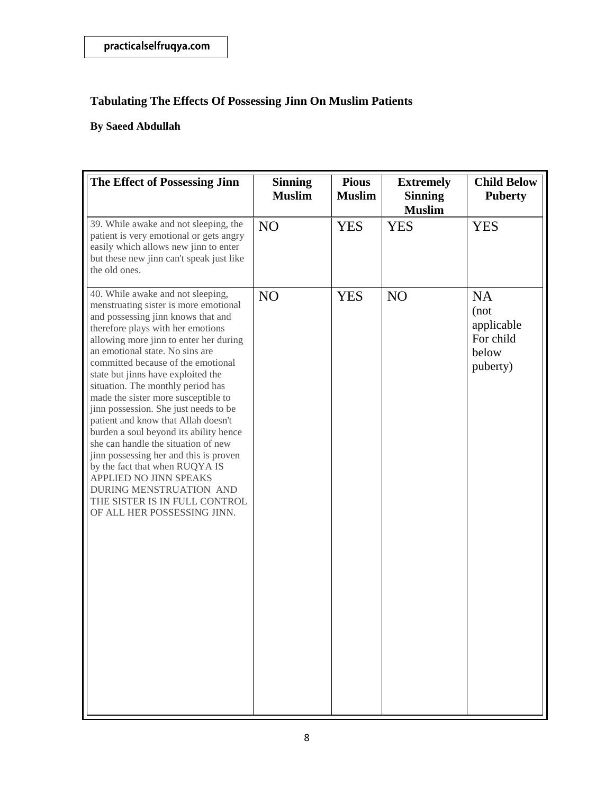| The Effect of Possessing Jinn                                                                                                                                                                                                                                                                                                                                                                                                                                                                                                                                                                                                                                                                                                                                | <b>Sinning</b><br><b>Muslim</b> | <b>Pious</b><br><b>Muslim</b> | <b>Extremely</b><br><b>Sinning</b><br><b>Muslim</b> | <b>Child Below</b><br><b>Puberty</b>                              |
|--------------------------------------------------------------------------------------------------------------------------------------------------------------------------------------------------------------------------------------------------------------------------------------------------------------------------------------------------------------------------------------------------------------------------------------------------------------------------------------------------------------------------------------------------------------------------------------------------------------------------------------------------------------------------------------------------------------------------------------------------------------|---------------------------------|-------------------------------|-----------------------------------------------------|-------------------------------------------------------------------|
| 39. While awake and not sleeping, the<br>patient is very emotional or gets angry<br>easily which allows new jinn to enter<br>but these new jinn can't speak just like<br>the old ones.                                                                                                                                                                                                                                                                                                                                                                                                                                                                                                                                                                       | N <sub>O</sub>                  | <b>YES</b>                    | <b>YES</b>                                          | <b>YES</b>                                                        |
| 40. While awake and not sleeping,<br>menstruating sister is more emotional<br>and possessing jinn knows that and<br>therefore plays with her emotions<br>allowing more jinn to enter her during<br>an emotional state. No sins are<br>committed because of the emotional<br>state but jinns have exploited the<br>situation. The monthly period has<br>made the sister more susceptible to<br>jinn possession. She just needs to be<br>patient and know that Allah doesn't<br>burden a soul beyond its ability hence<br>she can handle the situation of new<br>jinn possessing her and this is proven<br>by the fact that when RUQYA IS<br>APPLIED NO JINN SPEAKS<br>DURING MENSTRUATION AND<br>THE SISTER IS IN FULL CONTROL<br>OF ALL HER POSSESSING JINN. | N <sub>O</sub>                  | <b>YES</b>                    | N <sub>O</sub>                                      | <b>NA</b><br>(not<br>applicable<br>For child<br>below<br>puberty) |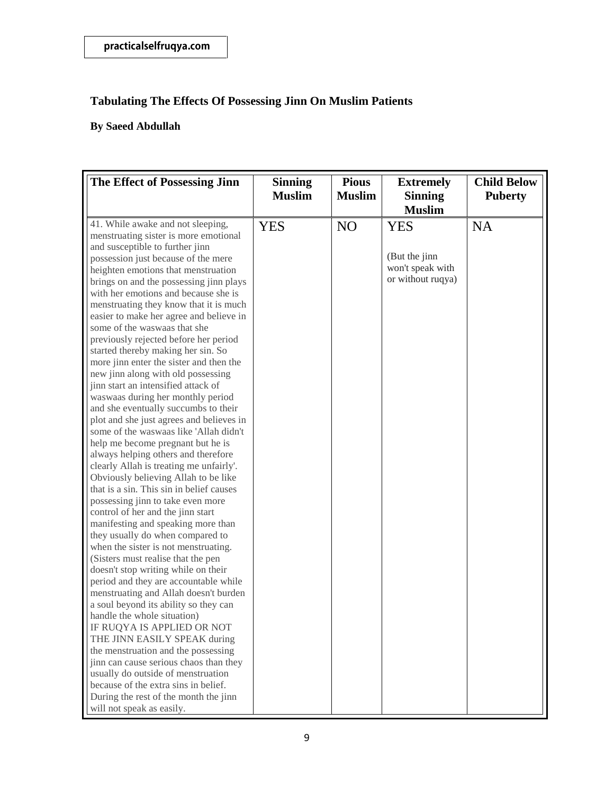| The Effect of Possessing Jinn                                                                                 | <b>Sinning</b><br><b>Muslim</b> | <b>Pious</b><br><b>Muslim</b> | <b>Extremely</b><br><b>Sinning</b>    | <b>Child Below</b><br><b>Puberty</b> |
|---------------------------------------------------------------------------------------------------------------|---------------------------------|-------------------------------|---------------------------------------|--------------------------------------|
|                                                                                                               |                                 |                               | <b>Muslim</b>                         |                                      |
| 41. While awake and not sleeping,<br>menstruating sister is more emotional<br>and susceptible to further jinn | <b>YES</b>                      | N <sub>O</sub>                | <b>YES</b>                            | <b>NA</b>                            |
| possession just because of the mere                                                                           |                                 |                               | (But the jinn                         |                                      |
| heighten emotions that menstruation<br>brings on and the possessing jinn plays                                |                                 |                               | won't speak with<br>or without ruqya) |                                      |
| with her emotions and because she is                                                                          |                                 |                               |                                       |                                      |
| menstruating they know that it is much                                                                        |                                 |                               |                                       |                                      |
| easier to make her agree and believe in<br>some of the waswaas that she                                       |                                 |                               |                                       |                                      |
| previously rejected before her period                                                                         |                                 |                               |                                       |                                      |
| started thereby making her sin. So                                                                            |                                 |                               |                                       |                                      |
| more jinn enter the sister and then the<br>new jinn along with old possessing                                 |                                 |                               |                                       |                                      |
| jinn start an intensified attack of                                                                           |                                 |                               |                                       |                                      |
| waswaas during her monthly period                                                                             |                                 |                               |                                       |                                      |
| and she eventually succumbs to their<br>plot and she just agrees and believes in                              |                                 |                               |                                       |                                      |
| some of the waswaas like 'Allah didn't                                                                        |                                 |                               |                                       |                                      |
| help me become pregnant but he is                                                                             |                                 |                               |                                       |                                      |
| always helping others and therefore<br>clearly Allah is treating me unfairly'.                                |                                 |                               |                                       |                                      |
| Obviously believing Allah to be like                                                                          |                                 |                               |                                       |                                      |
| that is a sin. This sin in belief causes                                                                      |                                 |                               |                                       |                                      |
| possessing jinn to take even more                                                                             |                                 |                               |                                       |                                      |
| control of her and the jinn start<br>manifesting and speaking more than                                       |                                 |                               |                                       |                                      |
| they usually do when compared to                                                                              |                                 |                               |                                       |                                      |
| when the sister is not menstruating.                                                                          |                                 |                               |                                       |                                      |
| (Sisters must realise that the pen<br>doesn't stop writing while on their                                     |                                 |                               |                                       |                                      |
| period and they are accountable while                                                                         |                                 |                               |                                       |                                      |
| menstruating and Allah doesn't burden                                                                         |                                 |                               |                                       |                                      |
| a soul beyond its ability so they can<br>handle the whole situation)                                          |                                 |                               |                                       |                                      |
| IF RUQYA IS APPLIED OR NOT                                                                                    |                                 |                               |                                       |                                      |
| THE JINN EASILY SPEAK during                                                                                  |                                 |                               |                                       |                                      |
| the menstruation and the possessing<br>jinn can cause serious chaos than they                                 |                                 |                               |                                       |                                      |
| usually do outside of menstruation                                                                            |                                 |                               |                                       |                                      |
| because of the extra sins in belief.                                                                          |                                 |                               |                                       |                                      |
| During the rest of the month the jinn                                                                         |                                 |                               |                                       |                                      |
| will not speak as easily.                                                                                     |                                 |                               |                                       |                                      |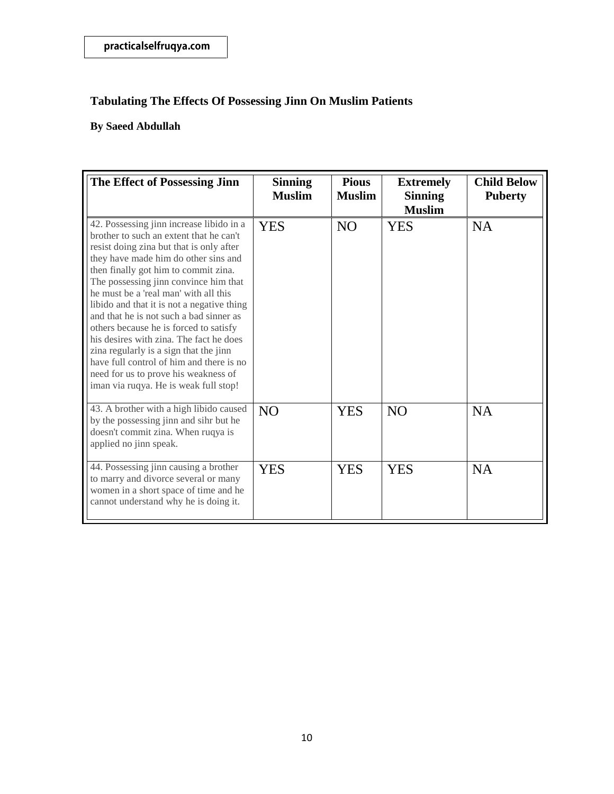| The Effect of Possessing Jinn                                                                                                                                                                                                                                                                                                                                                                                                                                                                                                                                                                                                                          | <b>Sinning</b><br><b>Muslim</b> | <b>Pious</b><br><b>Muslim</b> | <b>Extremely</b><br><b>Sinning</b><br><b>Muslim</b> | <b>Child Below</b><br><b>Puberty</b> |
|--------------------------------------------------------------------------------------------------------------------------------------------------------------------------------------------------------------------------------------------------------------------------------------------------------------------------------------------------------------------------------------------------------------------------------------------------------------------------------------------------------------------------------------------------------------------------------------------------------------------------------------------------------|---------------------------------|-------------------------------|-----------------------------------------------------|--------------------------------------|
| 42. Possessing jinn increase libido in a<br>brother to such an extent that he can't<br>resist doing zina but that is only after<br>they have made him do other sins and<br>then finally got him to commit zina.<br>The possessing jinn convince him that<br>he must be a 'real man' with all this<br>libido and that it is not a negative thing<br>and that he is not such a bad sinner as<br>others because he is forced to satisfy<br>his desires with zina. The fact he does<br>zina regularly is a sign that the jinn<br>have full control of him and there is no<br>need for us to prove his weakness of<br>iman via ruqya. He is weak full stop! | <b>YES</b>                      | <b>NO</b>                     | <b>YES</b>                                          | <b>NA</b>                            |
| 43. A brother with a high libido caused<br>by the possessing jinn and sihr but he<br>doesn't commit zina. When ruqya is<br>applied no jinn speak.                                                                                                                                                                                                                                                                                                                                                                                                                                                                                                      | N <sub>O</sub>                  | YES                           | N <sub>O</sub>                                      | <b>NA</b>                            |
| 44. Possessing jinn causing a brother<br>to marry and divorce several or many<br>women in a short space of time and he<br>cannot understand why he is doing it.                                                                                                                                                                                                                                                                                                                                                                                                                                                                                        | <b>YES</b>                      | <b>YES</b>                    | <b>YES</b>                                          | <b>NA</b>                            |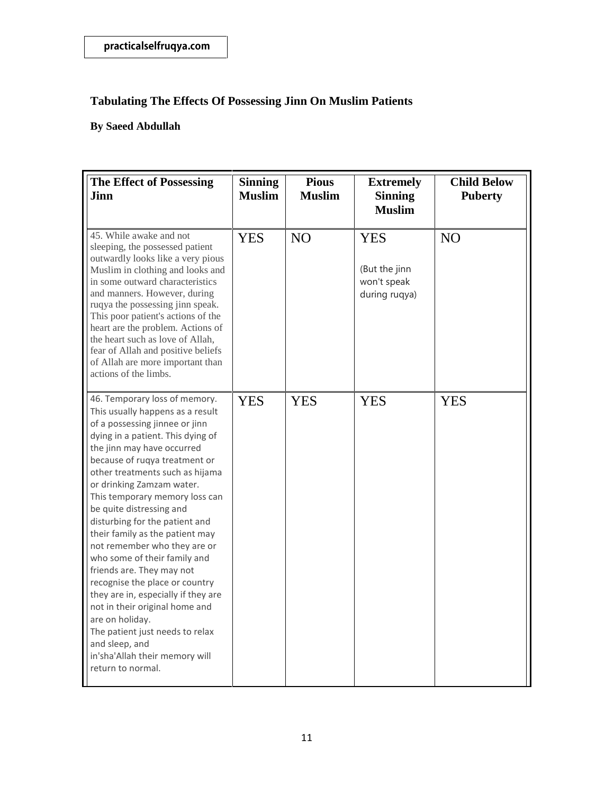| <b>The Effect of Possessing</b><br><b>Jinn</b>                                                                                                                                                                                                                                                                                                                                                                                                                                                                                                                                                                                                                                                                                                    | <b>Sinning</b><br><b>Muslim</b> | <b>Pious</b><br><b>Muslim</b> | <b>Extremely</b><br><b>Sinning</b><br><b>Muslim</b>         | <b>Child Below</b><br><b>Puberty</b> |
|---------------------------------------------------------------------------------------------------------------------------------------------------------------------------------------------------------------------------------------------------------------------------------------------------------------------------------------------------------------------------------------------------------------------------------------------------------------------------------------------------------------------------------------------------------------------------------------------------------------------------------------------------------------------------------------------------------------------------------------------------|---------------------------------|-------------------------------|-------------------------------------------------------------|--------------------------------------|
| 45. While awake and not<br>sleeping, the possessed patient<br>outwardly looks like a very pious<br>Muslim in clothing and looks and<br>in some outward characteristics<br>and manners. However, during<br>ruqya the possessing jinn speak.<br>This poor patient's actions of the<br>heart are the problem. Actions of<br>the heart such as love of Allah,<br>fear of Allah and positive beliefs<br>of Allah are more important than<br>actions of the limbs.                                                                                                                                                                                                                                                                                      | <b>YES</b>                      | N <sub>O</sub>                | <b>YES</b><br>(But the jinn<br>won't speak<br>during rugya) | N <sub>O</sub>                       |
| 46. Temporary loss of memory.<br>This usually happens as a result<br>of a possessing jinnee or jinn<br>dying in a patient. This dying of<br>the jinn may have occurred<br>because of ruqya treatment or<br>other treatments such as hijama<br>or drinking Zamzam water.<br>This temporary memory loss can<br>be quite distressing and<br>disturbing for the patient and<br>their family as the patient may<br>not remember who they are or<br>who some of their family and<br>friends are. They may not<br>recognise the place or country<br>they are in, especially if they are<br>not in their original home and<br>are on holiday.<br>The patient just needs to relax<br>and sleep, and<br>in'sha'Allah their memory will<br>return to normal. | <b>YES</b>                      | <b>YES</b>                    | <b>YES</b>                                                  | <b>YES</b>                           |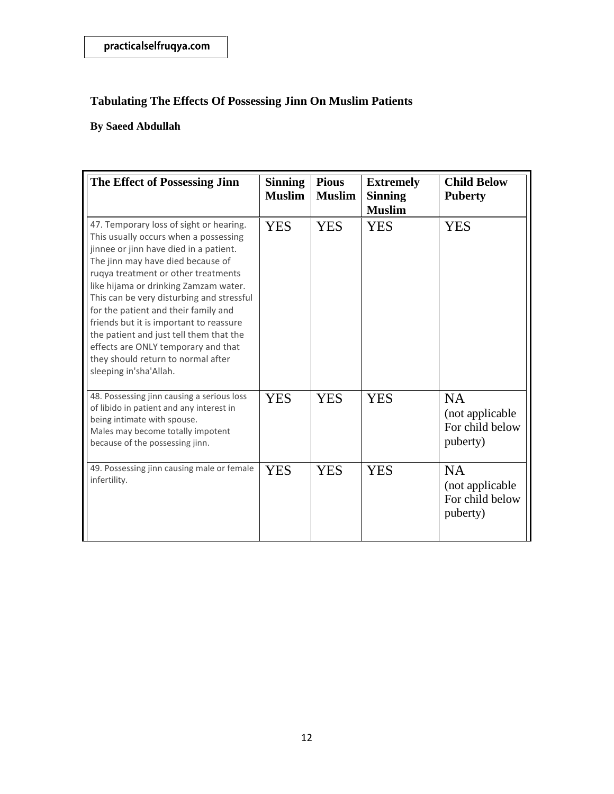| The Effect of Possessing Jinn                                                                                                                                                                                                                                                                                                                                                                                                                                                                                                     | <b>Sinning</b><br><b>Muslim</b> | <b>Pious</b><br><b>Muslim</b> | <b>Extremely</b><br><b>Sinning</b><br><b>Muslim</b> | <b>Child Below</b><br><b>Puberty</b>                         |
|-----------------------------------------------------------------------------------------------------------------------------------------------------------------------------------------------------------------------------------------------------------------------------------------------------------------------------------------------------------------------------------------------------------------------------------------------------------------------------------------------------------------------------------|---------------------------------|-------------------------------|-----------------------------------------------------|--------------------------------------------------------------|
| 47. Temporary loss of sight or hearing.<br>This usually occurs when a possessing<br>jinnee or jinn have died in a patient.<br>The jinn may have died because of<br>ruqya treatment or other treatments<br>like hijama or drinking Zamzam water.<br>This can be very disturbing and stressful<br>for the patient and their family and<br>friends but it is important to reassure<br>the patient and just tell them that the<br>effects are ONLY temporary and that<br>they should return to normal after<br>sleeping in'sha'Allah. | <b>YES</b>                      | <b>YES</b>                    | <b>YES</b>                                          | <b>YES</b>                                                   |
| 48. Possessing jinn causing a serious loss<br>of libido in patient and any interest in<br>being intimate with spouse.<br>Males may become totally impotent<br>because of the possessing jinn.                                                                                                                                                                                                                                                                                                                                     | <b>YES</b>                      | <b>YES</b>                    | <b>YES</b>                                          | <b>NA</b><br>(not applicable)<br>For child below<br>puberty) |
| 49. Possessing jinn causing male or female<br>infertility.                                                                                                                                                                                                                                                                                                                                                                                                                                                                        | <b>YES</b>                      | <b>YES</b>                    | <b>YES</b>                                          | <b>NA</b><br>(not applicable)<br>For child below<br>puberty) |